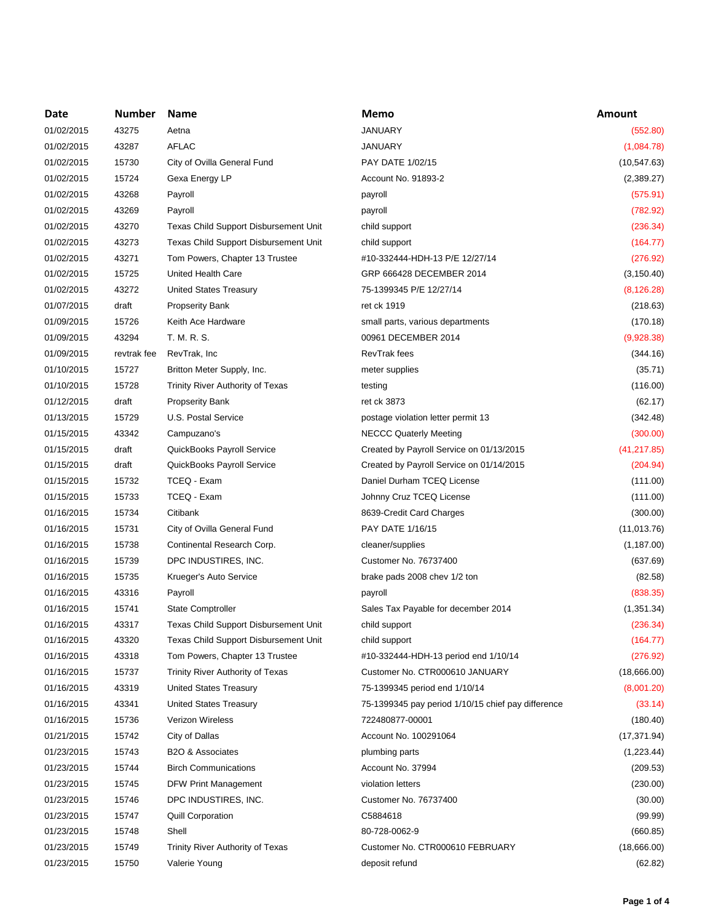| Date       | <b>Number</b> | <b>Name</b>                                  | Memo                                               | Amount       |
|------------|---------------|----------------------------------------------|----------------------------------------------------|--------------|
| 01/02/2015 | 43275         | Aetna                                        | <b>JANUARY</b>                                     | (552.80)     |
| 01/02/2015 | 43287         | <b>AFLAC</b>                                 | <b>JANUARY</b>                                     | (1,084.78)   |
| 01/02/2015 | 15730         | City of Ovilla General Fund                  | PAY DATE 1/02/15                                   | (10, 547.63) |
| 01/02/2015 | 15724         | Gexa Energy LP                               | Account No. 91893-2                                | (2,389.27)   |
| 01/02/2015 | 43268         | Payroll                                      | payroll                                            | (575.91)     |
| 01/02/2015 | 43269         | Payroll                                      | payroll                                            | (782.92)     |
| 01/02/2015 | 43270         | <b>Texas Child Support Disbursement Unit</b> | child support                                      | (236.34)     |
| 01/02/2015 | 43273         | Texas Child Support Disbursement Unit        | child support                                      | (164.77)     |
| 01/02/2015 | 43271         | Tom Powers, Chapter 13 Trustee               | #10-332444-HDH-13 P/E 12/27/14                     | (276.92)     |
| 01/02/2015 | 15725         | <b>United Health Care</b>                    | GRP 666428 DECEMBER 2014                           | (3, 150.40)  |
| 01/02/2015 | 43272         | <b>United States Treasury</b>                | 75-1399345 P/E 12/27/14                            | (8, 126.28)  |
| 01/07/2015 | draft         | <b>Propserity Bank</b>                       | ret ck 1919                                        | (218.63)     |
| 01/09/2015 | 15726         | Keith Ace Hardware                           | small parts, various departments                   | (170.18)     |
| 01/09/2015 | 43294         | T. M. R. S.                                  | 00961 DECEMBER 2014                                | (9,928.38)   |
| 01/09/2015 | revtrak fee   | RevTrak, Inc                                 | RevTrak fees                                       | (344.16)     |
| 01/10/2015 | 15727         | Britton Meter Supply, Inc.                   | meter supplies                                     | (35.71)      |
| 01/10/2015 | 15728         | Trinity River Authority of Texas             | testing                                            | (116.00)     |
| 01/12/2015 | draft         | <b>Propserity Bank</b>                       | ret ck 3873                                        | (62.17)      |
| 01/13/2015 | 15729         | U.S. Postal Service                          | postage violation letter permit 13                 | (342.48)     |
| 01/15/2015 | 43342         |                                              |                                                    |              |
|            |               | Campuzano's                                  | <b>NECCC Quaterly Meeting</b>                      | (300.00)     |
| 01/15/2015 | draft         | QuickBooks Payroll Service                   | Created by Payroll Service on 01/13/2015           | (41, 217.85) |
| 01/15/2015 | draft         | QuickBooks Payroll Service                   | Created by Payroll Service on 01/14/2015           | (204.94)     |
| 01/15/2015 | 15732         | TCEQ - Exam                                  | Daniel Durham TCEQ License                         | (111.00)     |
| 01/15/2015 | 15733         | TCEQ - Exam                                  | Johnny Cruz TCEQ License                           | (111.00)     |
| 01/16/2015 | 15734         | Citibank                                     | 8639-Credit Card Charges                           | (300.00)     |
| 01/16/2015 | 15731         | City of Ovilla General Fund                  | PAY DATE 1/16/15                                   | (11, 013.76) |
| 01/16/2015 | 15738         | Continental Research Corp.                   | cleaner/supplies                                   | (1, 187.00)  |
| 01/16/2015 | 15739         | DPC INDUSTIRES, INC.                         | Customer No. 76737400                              | (637.69)     |
| 01/16/2015 | 15735         | Krueger's Auto Service                       | brake pads 2008 chev 1/2 ton                       | (82.58)      |
| 01/16/2015 | 43316         | Payroll                                      | payroll                                            | (838.35)     |
| 01/16/2015 | 15741         | <b>State Comptroller</b>                     | Sales Tax Payable for december 2014                | (1,351.34)   |
| 01/16/2015 | 43317         | Texas Child Support Disbursement Unit        | child support                                      | (236.34)     |
| 01/16/2015 | 43320         | Texas Child Support Disbursement Unit        | child support                                      | (164.77)     |
| 01/16/2015 | 43318         | Tom Powers, Chapter 13 Trustee               | #10-332444-HDH-13 period end 1/10/14               | (276.92)     |
| 01/16/2015 | 15737         | Trinity River Authority of Texas             | Customer No. CTR000610 JANUARY                     | (18,666.00)  |
| 01/16/2015 | 43319         | United States Treasury                       | 75-1399345 period end 1/10/14                      | (8,001.20)   |
| 01/16/2015 | 43341         | <b>United States Treasury</b>                | 75-1399345 pay period 1/10/15 chief pay difference | (33.14)      |
| 01/16/2015 | 15736         | Verizon Wireless                             | 722480877-00001                                    | (180.40)     |
| 01/21/2015 | 15742         | City of Dallas                               | Account No. 100291064                              | (17, 371.94) |
| 01/23/2015 | 15743         | B2O & Associates                             | plumbing parts                                     | (1,223.44)   |
| 01/23/2015 | 15744         | <b>Birch Communications</b>                  | Account No. 37994                                  | (209.53)     |
| 01/23/2015 | 15745         | DFW Print Management                         | violation letters                                  | (230.00)     |
| 01/23/2015 | 15746         | DPC INDUSTIRES, INC.                         | Customer No. 76737400                              | (30.00)      |
| 01/23/2015 | 15747         | <b>Quill Corporation</b>                     | C5884618                                           | (99.99)      |
| 01/23/2015 | 15748         | Shell                                        | 80-728-0062-9                                      | (660.85)     |
| 01/23/2015 | 15749         | Trinity River Authority of Texas             | Customer No. CTR000610 FEBRUARY                    | (18,666.00)  |
| 01/23/2015 | 15750         | Valerie Young                                | deposit refund                                     | (62.82)      |
|            |               |                                              |                                                    |              |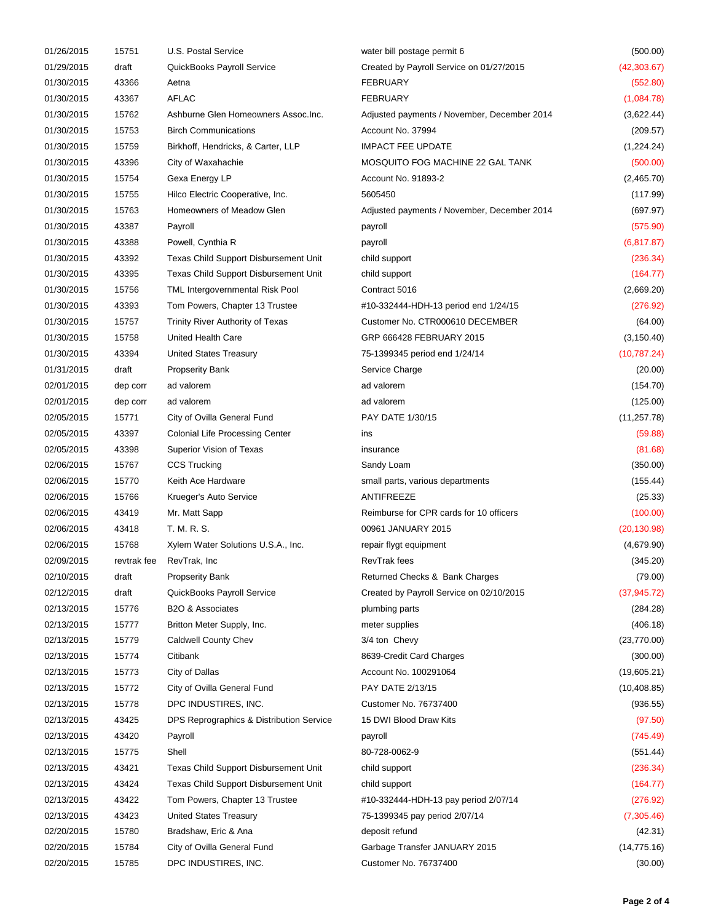| 01/26/2015               | 15751          | U.S. Postal Service                                                     | water bill postage permit 6                 | (500.00)                |
|--------------------------|----------------|-------------------------------------------------------------------------|---------------------------------------------|-------------------------|
| 01/29/2015               | draft          | QuickBooks Payroll Service                                              | Created by Payroll Service on 01/27/2015    | (42, 303.67)            |
| 01/30/2015               | 43366          | Aetna                                                                   | <b>FEBRUARY</b>                             | (552.80)                |
| 01/30/2015               | 43367          | <b>AFLAC</b>                                                            | <b>FEBRUARY</b>                             | (1,084.78)              |
| 01/30/2015               | 15762          | Ashburne Glen Homeowners Assoc. Inc.                                    | Adjusted payments / November, December 2014 | (3,622.44)              |
| 01/30/2015               | 15753          | <b>Birch Communications</b>                                             | Account No. 37994                           | (209.57)                |
| 01/30/2015               | 15759          | Birkhoff, Hendricks, & Carter, LLP                                      | <b>IMPACT FEE UPDATE</b>                    | (1,224.24)              |
| 01/30/2015               | 43396          | City of Waxahachie                                                      | MOSQUITO FOG MACHINE 22 GAL TANK            | (500.00)                |
| 01/30/2015               | 15754          | Gexa Energy LP                                                          | Account No. 91893-2                         | (2,465.70)              |
| 01/30/2015               | 15755          | Hilco Electric Cooperative, Inc.                                        | 5605450                                     | (117.99)                |
| 01/30/2015               | 15763          | Homeowners of Meadow Glen                                               | Adjusted payments / November, December 2014 | (697.97)                |
| 01/30/2015               | 43387          | Payroll                                                                 | payroll                                     | (575.90)                |
| 01/30/2015               | 43388          | Powell, Cynthia R                                                       | payroll                                     | (6, 817.87)             |
| 01/30/2015               | 43392          | Texas Child Support Disbursement Unit                                   | child support                               | (236.34)                |
| 01/30/2015               | 43395          | Texas Child Support Disbursement Unit                                   | child support                               | (164.77)                |
| 01/30/2015               | 15756          | TML Intergovernmental Risk Pool                                         | Contract 5016                               | (2,669.20)              |
| 01/30/2015               | 43393          | Tom Powers, Chapter 13 Trustee                                          | #10-332444-HDH-13 period end 1/24/15        | (276.92)                |
| 01/30/2015               | 15757          | Trinity River Authority of Texas                                        | Customer No. CTR000610 DECEMBER             | (64.00)                 |
| 01/30/2015               | 15758          | United Health Care                                                      | GRP 666428 FEBRUARY 2015                    | (3, 150.40)             |
| 01/30/2015               | 43394          | <b>United States Treasury</b>                                           | 75-1399345 period end 1/24/14               | (10, 787.24)            |
| 01/31/2015               | draft          | <b>Propserity Bank</b>                                                  | Service Charge                              | (20.00)                 |
| 02/01/2015               | dep corr       | ad valorem                                                              | ad valorem                                  | (154.70)                |
| 02/01/2015               | dep corr       | ad valorem                                                              | ad valorem                                  | (125.00)                |
| 02/05/2015               | 15771          | City of Ovilla General Fund                                             | PAY DATE 1/30/15                            | (11, 257.78)            |
| 02/05/2015               | 43397          | <b>Colonial Life Processing Center</b>                                  | ins                                         | (59.88)                 |
| 02/05/2015               | 43398          | Superior Vision of Texas                                                | insurance                                   | (81.68)                 |
| 02/06/2015               | 15767          | <b>CCS Trucking</b>                                                     | Sandy Loam                                  | (350.00)                |
| 02/06/2015               | 15770          | Keith Ace Hardware                                                      | small parts, various departments            | (155.44)                |
| 02/06/2015               | 15766          | Krueger's Auto Service                                                  | ANTIFREEZE                                  | (25.33)                 |
| 02/06/2015               | 43419          | Mr. Matt Sapp                                                           | Reimburse for CPR cards for 10 officers     | (100.00)                |
| 02/06/2015               | 43418          | T. M. R. S.                                                             | 00961 JANUARY 2015                          | (20, 130.98)            |
| 02/06/2015               | 15768          | Xylem Water Solutions U.S.A., Inc.                                      | repair flygt equipment                      | (4,679.90)              |
| 02/09/2015               | revtrak fee    | RevTrak, Inc                                                            | <b>RevTrak fees</b>                         | (345.20)                |
| 02/10/2015               | draft          | <b>Propserity Bank</b>                                                  | Returned Checks & Bank Charges              | (79.00)                 |
| 02/12/2015               | draft          | QuickBooks Payroll Service                                              | Created by Payroll Service on 02/10/2015    | (37, 945.72)            |
| 02/13/2015               | 15776          | B2O & Associates                                                        | plumbing parts                              | (284.28)                |
| 02/13/2015               | 15777          | Britton Meter Supply, Inc.                                              | meter supplies                              | (406.18)                |
| 02/13/2015               | 15779          | <b>Caldwell County Chev</b>                                             | 3/4 ton Chevy                               | (23, 770.00)            |
| 02/13/2015               | 15774          | Citibank                                                                | 8639-Credit Card Charges                    | (300.00)                |
| 02/13/2015               | 15773          | City of Dallas                                                          | Account No. 100291064                       | (19,605.21)             |
| 02/13/2015               | 15772          | City of Ovilla General Fund                                             | PAY DATE 2/13/15                            | (10, 408.85)            |
| 02/13/2015               | 15778          | DPC INDUSTIRES, INC.                                                    | Customer No. 76737400                       | (936.55)                |
| 02/13/2015               | 43425          | DPS Reprographics & Distribution Service                                | 15 DWI Blood Draw Kits                      | (97.50)                 |
| 02/13/2015               | 43420          | Payroll                                                                 | payroll                                     | (745.49)                |
| 02/13/2015               | 15775          | Shell                                                                   | 80-728-0062-9                               | (551.44)                |
| 02/13/2015               | 43421          | Texas Child Support Disbursement Unit                                   | child support                               | (236.34)                |
|                          |                |                                                                         |                                             |                         |
| 02/13/2015<br>02/13/2015 | 43424<br>43422 | Texas Child Support Disbursement Unit<br>Tom Powers, Chapter 13 Trustee | child support                               | (164.77)                |
| 02/13/2015               |                |                                                                         | #10-332444-HDH-13 pay period 2/07/14        | (276.92)                |
|                          | 43423<br>15780 | United States Treasury<br>Bradshaw, Eric & Ana                          | 75-1399345 pay period 2/07/14               | (7,305.46)              |
| 02/20/2015               | 15784          | City of Ovilla General Fund                                             | deposit refund                              | (42.31)<br>(14, 775.16) |
| 02/20/2015               |                |                                                                         | Garbage Transfer JANUARY 2015               |                         |
| 02/20/2015               | 15785          | DPC INDUSTIRES, INC.                                                    | Customer No. 76737400                       | (30.00)                 |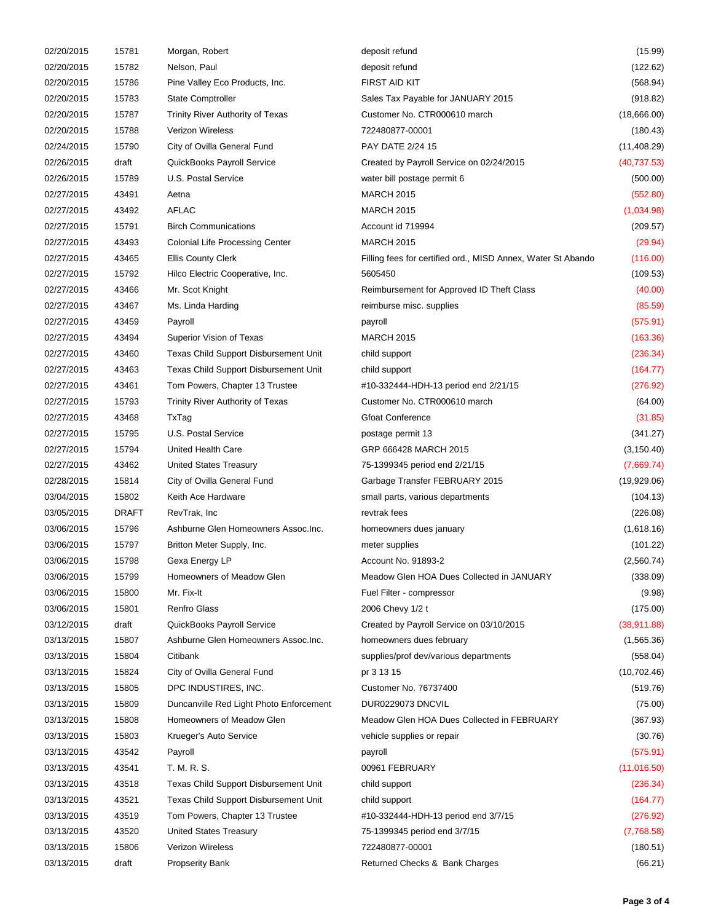| 02/20/2015 | 15781        | Morgan, Robert                               | deposit refund                                               | (15.99)            |
|------------|--------------|----------------------------------------------|--------------------------------------------------------------|--------------------|
| 02/20/2015 | 15782        | Nelson, Paul                                 | deposit refund                                               | (122.62)           |
| 02/20/2015 | 15786        | Pine Valley Eco Products, Inc.               | <b>FIRST AID KIT</b>                                         | (568.94)           |
| 02/20/2015 | 15783        | <b>State Comptroller</b>                     | Sales Tax Payable for JANUARY 2015                           | (918.82)           |
| 02/20/2015 | 15787        | Trinity River Authority of Texas             | Customer No. CTR000610 march                                 | (18,666.00)        |
| 02/20/2015 | 15788        | <b>Verizon Wireless</b>                      | 722480877-00001                                              | (180.43)           |
| 02/24/2015 | 15790        | City of Ovilla General Fund                  | PAY DATE 2/24 15                                             | (11, 408.29)       |
| 02/26/2015 | draft        | QuickBooks Payroll Service                   | Created by Payroll Service on 02/24/2015                     | (40, 737.53)       |
| 02/26/2015 | 15789        | U.S. Postal Service                          | water bill postage permit 6                                  | (500.00)           |
| 02/27/2015 | 43491        | Aetna                                        | <b>MARCH 2015</b>                                            | (552.80)           |
| 02/27/2015 | 43492        | <b>AFLAC</b>                                 | <b>MARCH 2015</b>                                            | (1,034.98)         |
| 02/27/2015 | 15791        | <b>Birch Communications</b>                  | Account id 719994                                            | (209.57)           |
| 02/27/2015 | 43493        | <b>Colonial Life Processing Center</b>       | <b>MARCH 2015</b>                                            | (29.94)            |
| 02/27/2015 | 43465        | <b>Ellis County Clerk</b>                    | Filling fees for certified ord., MISD Annex, Water St Abando | (116.00)           |
| 02/27/2015 | 15792        | Hilco Electric Cooperative, Inc.             | 5605450                                                      | (109.53)           |
| 02/27/2015 | 43466        | Mr. Scot Knight                              | Reimbursement for Approved ID Theft Class                    | (40.00)            |
| 02/27/2015 | 43467        | Ms. Linda Harding                            | reimburse misc. supplies                                     | (85.59)            |
| 02/27/2015 | 43459        | Payroll                                      | payroll                                                      | (575.91)           |
| 02/27/2015 | 43494        | Superior Vision of Texas                     | <b>MARCH 2015</b>                                            | (163.36)           |
| 02/27/2015 | 43460        | Texas Child Support Disbursement Unit        | child support                                                | (236.34)           |
| 02/27/2015 | 43463        | <b>Texas Child Support Disbursement Unit</b> | child support                                                | (164.77)           |
| 02/27/2015 | 43461        | Tom Powers, Chapter 13 Trustee               | #10-332444-HDH-13 period end 2/21/15                         | (276.92)           |
| 02/27/2015 | 15793        | Trinity River Authority of Texas             | Customer No. CTR000610 march                                 | (64.00)            |
| 02/27/2015 | 43468        | TxTag                                        | <b>Gfoat Conference</b>                                      | (31.85)            |
| 02/27/2015 | 15795        | U.S. Postal Service                          | postage permit 13                                            | (341.27)           |
| 02/27/2015 | 15794        | United Health Care                           | GRP 666428 MARCH 2015                                        | (3, 150.40)        |
| 02/27/2015 | 43462        | <b>United States Treasury</b>                | 75-1399345 period end 2/21/15                                | (7,669.74)         |
| 02/28/2015 | 15814        | City of Ovilla General Fund                  | Garbage Transfer FEBRUARY 2015                               | (19,929.06)        |
| 03/04/2015 | 15802        | Keith Ace Hardware                           | small parts, various departments                             | (104.13)           |
| 03/05/2015 | <b>DRAFT</b> | RevTrak, Inc.                                | revtrak fees                                                 | (226.08)           |
| 03/06/2015 | 15796        | Ashburne Glen Homeowners Assoc. Inc.         | homeowners dues january                                      | (1,618.16)         |
| 03/06/2015 | 15797        | Britton Meter Supply, Inc.                   | meter supplies                                               | (101.22)           |
| 03/06/2015 | 15798        | Gexa Energy LP                               | Account No. 91893-2                                          | (2,560.74)         |
| 03/06/2015 | 15799        | Homeowners of Meadow Glen                    | Meadow Glen HOA Dues Collected in JANUARY                    | (338.09)           |
| 03/06/2015 | 15800        | Mr. Fix-It                                   | Fuel Filter - compressor                                     |                    |
| 03/06/2015 | 15801        | <b>Renfro Glass</b>                          | 2006 Chevy 1/2 t                                             | (9.98)<br>(175.00) |
|            |              |                                              |                                                              |                    |
| 03/12/2015 | draft        | QuickBooks Payroll Service                   | Created by Payroll Service on 03/10/2015                     | (38, 911.88)       |
| 03/13/2015 | 15807        | Ashburne Glen Homeowners Assoc.Inc.          | homeowners dues february                                     | (1,565.36)         |
| 03/13/2015 | 15804        | Citibank                                     | supplies/prof dev/various departments                        | (558.04)           |
| 03/13/2015 | 15824        | City of Ovilla General Fund                  | pr 3 13 15                                                   | (10, 702.46)       |
| 03/13/2015 | 15805        | DPC INDUSTIRES, INC.                         | Customer No. 76737400                                        | (519.76)           |
| 03/13/2015 | 15809        | Duncanville Red Light Photo Enforcement      | DUR0229073 DNCVIL                                            | (75.00)            |
| 03/13/2015 | 15808        | Homeowners of Meadow Glen                    | Meadow Glen HOA Dues Collected in FEBRUARY                   | (367.93)           |
| 03/13/2015 | 15803        | Krueger's Auto Service                       | vehicle supplies or repair                                   | (30.76)            |
| 03/13/2015 | 43542        | Payroll                                      | payroll                                                      | (575.91)           |
| 03/13/2015 | 43541        | T. M. R. S.                                  | 00961 FEBRUARY                                               | (11,016.50)        |
| 03/13/2015 | 43518        | Texas Child Support Disbursement Unit        | child support                                                | (236.34)           |
| 03/13/2015 | 43521        | Texas Child Support Disbursement Unit        | child support                                                | (164.77)           |
| 03/13/2015 | 43519        | Tom Powers, Chapter 13 Trustee               | #10-332444-HDH-13 period end 3/7/15                          | (276.92)           |
| 03/13/2015 | 43520        | <b>United States Treasury</b>                | 75-1399345 period end 3/7/15                                 | (7,768.58)         |
| 03/13/2015 | 15806        | <b>Verizon Wireless</b>                      | 722480877-00001                                              | (180.51)           |
| 03/13/2015 | draft        | <b>Propserity Bank</b>                       | Returned Checks & Bank Charges                               | (66.21)            |